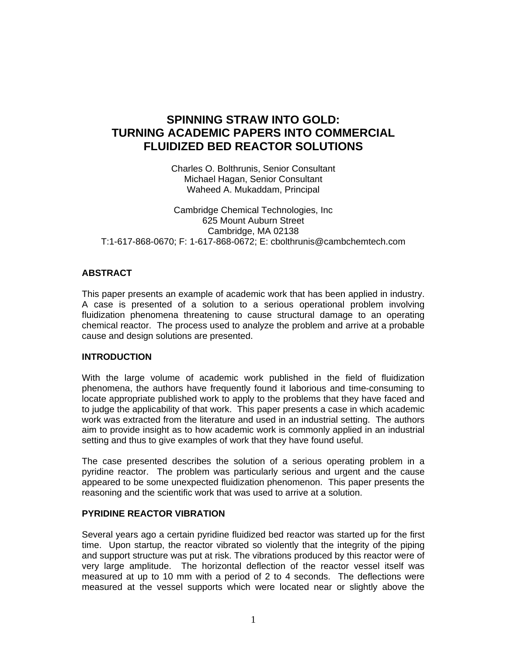# **SPINNING STRAW INTO GOLD: TURNING ACADEMIC PAPERS INTO COMMERCIAL FLUIDIZED BED REACTOR SOLUTIONS**

Charles O. Bolthrunis, Senior Consultant Michael Hagan, Senior Consultant Waheed A. Mukaddam, Principal

Cambridge Chemical Technologies, Inc 625 Mount Auburn Street Cambridge, MA 02138 T:1-617-868-0670; F: 1-617-868-0672; E: cbolthrunis@cambchemtech.com

## **ABSTRACT**

This paper presents an example of academic work that has been applied in industry. A case is presented of a solution to a serious operational problem involving fluidization phenomena threatening to cause structural damage to an operating chemical reactor. The process used to analyze the problem and arrive at a probable cause and design solutions are presented.

#### **INTRODUCTION**

With the large volume of academic work published in the field of fluidization phenomena, the authors have frequently found it laborious and time-consuming to locate appropriate published work to apply to the problems that they have faced and to judge the applicability of that work. This paper presents a case in which academic work was extracted from the literature and used in an industrial setting. The authors aim to provide insight as to how academic work is commonly applied in an industrial setting and thus to give examples of work that they have found useful.

The case presented describes the solution of a serious operating problem in a pyridine reactor. The problem was particularly serious and urgent and the cause appeared to be some unexpected fluidization phenomenon. This paper presents the reasoning and the scientific work that was used to arrive at a solution.

#### **PYRIDINE REACTOR VIBRATION**

Several years ago a certain pyridine fluidized bed reactor was started up for the first time. Upon startup, the reactor vibrated so violently that the integrity of the piping and support structure was put at risk. The vibrations produced by this reactor were of very large amplitude. The horizontal deflection of the reactor vessel itself was measured at up to 10 mm with a period of 2 to 4 seconds. The deflections were measured at the vessel supports which were located near or slightly above the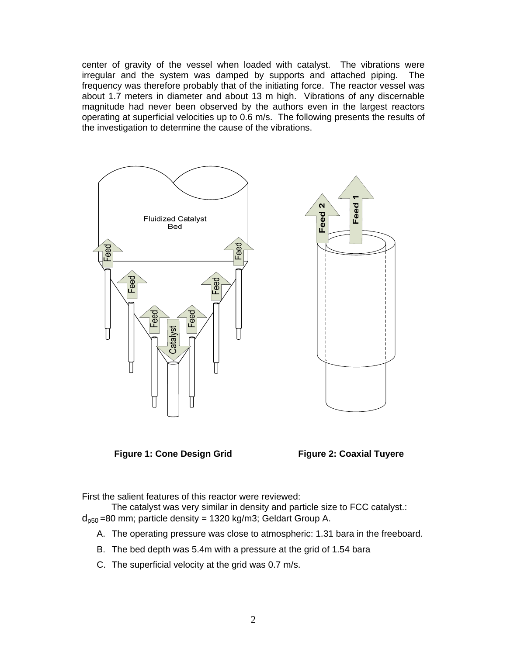center of gravity of the vessel when loaded with catalyst. The vibrations were irregular and the system was damped by supports and attached piping. The frequency was therefore probably that of the initiating force. The reactor vessel was about 1.7 meters in diameter and about 13 m high. Vibrations of any discernable magnitude had never been observed by the authors even in the largest reactors operating at superficial velocities up to 0.6 m/s. The following presents the results of the investigation to determine the cause of the vibrations.



**Figure 1: Cone Design Grid Figure 2: Coaxial Tuyere** 

First the salient features of this reactor were reviewed:

The catalyst was very similar in density and particle size to FCC catalyst.:  $d_{p50}$ =80 mm; particle density = 1320 kg/m3; Geldart Group A.

- A. The operating pressure was close to atmospheric: 1.31 bara in the freeboard.
- B. The bed depth was 5.4m with a pressure at the grid of 1.54 bara
- C. The superficial velocity at the grid was 0.7 m/s.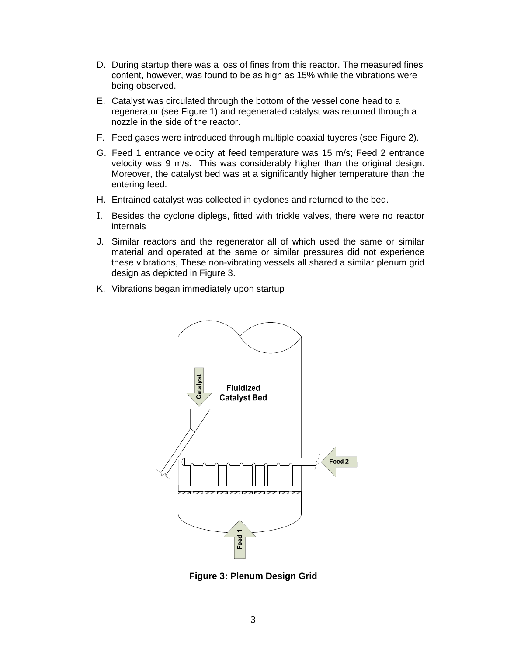- D. During startup there was a loss of fines from this reactor. The measured fines content, however, was found to be as high as 15% while the vibrations were being observed.
- E. Catalyst was circulated through the bottom of the vessel cone head to a regenerator (see Figure 1) and regenerated catalyst was returned through a nozzle in the side of the reactor.
- F. Feed gases were introduced through multiple coaxial tuyeres (see Figure 2).
- G. Feed 1 entrance velocity at feed temperature was 15 m/s; Feed 2 entrance velocity was 9 m/s. This was considerably higher than the original design. Moreover, the catalyst bed was at a significantly higher temperature than the entering feed.
- H. Entrained catalyst was collected in cyclones and returned to the bed.
- I. Besides the cyclone diplegs, fitted with trickle valves, there were no reactor internals
- J. Similar reactors and the regenerator all of which used the same or similar material and operated at the same or similar pressures did not experience these vibrations, These non-vibrating vessels all shared a similar plenum grid design as depicted in Figure 3.
- K. Vibrations began immediately upon startup



**Figure 3: Plenum Design Grid**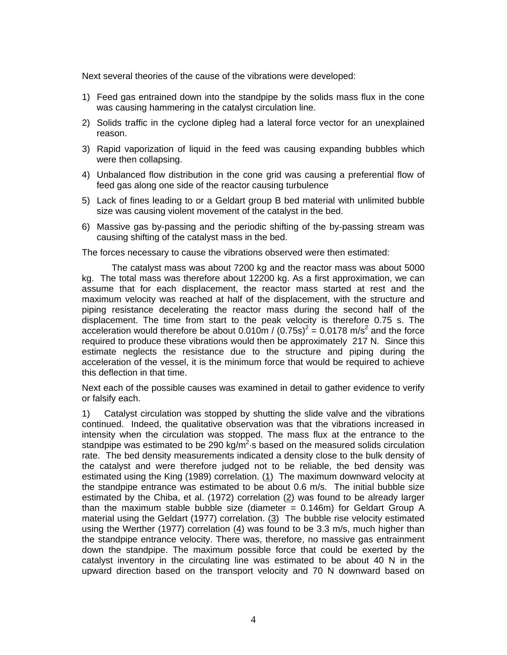Next several theories of the cause of the vibrations were developed:

- 1) Feed gas entrained down into the standpipe by the solids mass flux in the cone was causing hammering in the catalyst circulation line.
- 2) Solids traffic in the cyclone dipleg had a lateral force vector for an unexplained reason.
- 3) Rapid vaporization of liquid in the feed was causing expanding bubbles which were then collapsing.
- 4) Unbalanced flow distribution in the cone grid was causing a preferential flow of feed gas along one side of the reactor causing turbulence
- 5) Lack of fines leading to or a Geldart group B bed material with unlimited bubble size was causing violent movement of the catalyst in the bed.
- 6) Massive gas by-passing and the periodic shifting of the by-passing stream was causing shifting of the catalyst mass in the bed.

The forces necessary to cause the vibrations observed were then estimated:

 The catalyst mass was about 7200 kg and the reactor mass was about 5000 kg. The total mass was therefore about 12200 kg. As a first approximation, we can assume that for each displacement, the reactor mass started at rest and the maximum velocity was reached at half of the displacement, with the structure and piping resistance decelerating the reactor mass during the second half of the displacement. The time from start to the peak velocity is therefore 0.75 s. The acceleration would therefore be about 0.010m / (0.75s)<sup>2</sup> = 0.0178 m/s<sup>2</sup> and the force required to produce these vibrations would then be approximately 217 N. Since this estimate neglects the resistance due to the structure and piping during the acceleration of the vessel, it is the minimum force that would be required to achieve this deflection in that time.

Next each of the possible causes was examined in detail to gather evidence to verify or falsify each.

1) Catalyst circulation was stopped by shutting the slide valve and the vibrations continued. Indeed, the qualitative observation was that the vibrations increased in intensity when the circulation was stopped. The mass flux at the entrance to the standpipe was estimated to be 290 kg/m<sup>2</sup> $\cdot$ s based on the measured solids circulation rate. The bed density measurements indicated a density close to the bulk density of the catalyst and were therefore judged not to be reliable, the bed density was estimated using the King (1989) correlation.  $(1)$  The maximum downward velocity at the standpipe entrance was estimated to be about 0.6 m/s. The initial bubble size estimated by the Chiba, et al. (1972) correlation (2) was found to be already larger than the maximum stable bubble size (diameter  $= 0.146$ m) for Geldart Group A material using the Geldart (1977) correlation.  $(3)$  The bubble rise velocity estimated using the Werther (1977) correlation (4) was found to be 3.3 m/s, much higher than the standpipe entrance velocity. There was, therefore, no massive gas entrainment down the standpipe. The maximum possible force that could be exerted by the catalyst inventory in the circulating line was estimated to be about 40 N in the upward direction based on the transport velocity and 70 N downward based on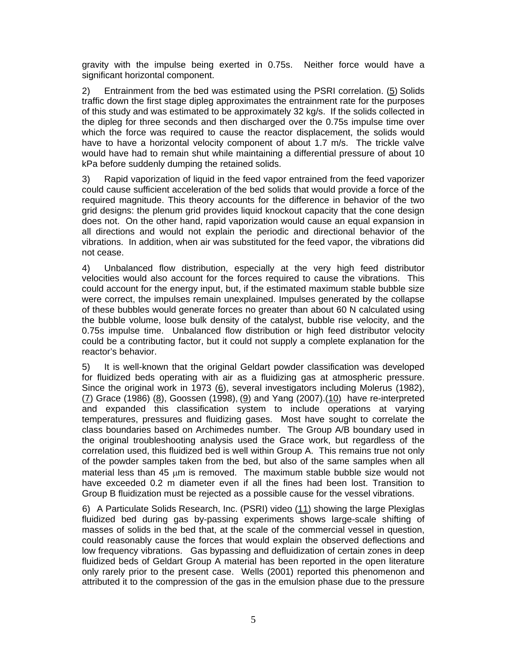gravity with the impulse being exerted in 0.75s. Neither force would have a significant horizontal component.

2) Entrainment from the bed was estimated using the PSRI correlation.  $(5)$  Solids traffic down the first stage dipleg approximates the entrainment rate for the purposes of this study and was estimated to be approximately 32 kg/s. If the solids collected in the dipleg for three seconds and then discharged over the 0.75s impulse time over which the force was required to cause the reactor displacement, the solids would have to have a horizontal velocity component of about 1.7 m/s. The trickle valve would have had to remain shut while maintaining a differential pressure of about 10 kPa before suddenly dumping the retained solids.

3) Rapid vaporization of liquid in the feed vapor entrained from the feed vaporizer could cause sufficient acceleration of the bed solids that would provide a force of the required magnitude. This theory accounts for the difference in behavior of the two grid designs: the plenum grid provides liquid knockout capacity that the cone design does not. On the other hand, rapid vaporization would cause an equal expansion in all directions and would not explain the periodic and directional behavior of the vibrations. In addition, when air was substituted for the feed vapor, the vibrations did not cease.

4) Unbalanced flow distribution, especially at the very high feed distributor velocities would also account for the forces required to cause the vibrations. This could account for the energy input, but, if the estimated maximum stable bubble size were correct, the impulses remain unexplained. Impulses generated by the collapse of these bubbles would generate forces no greater than about 60 N calculated using the bubble volume, loose bulk density of the catalyst, bubble rise velocity, and the 0.75s impulse time. Unbalanced flow distribution or high feed distributor velocity could be a contributing factor, but it could not supply a complete explanation for the reactor's behavior.

5) It is well-known that the original Geldart powder classification was developed for fluidized beds operating with air as a fluidizing gas at atmospheric pressure. Since the original work in 1973 (6), several investigators including Molerus (1982), (7) Grace (1986) (8), Goossen (1998), (9) and Yang (2007).(10) have re-interpreted and expanded this classification system to include operations at varying temperatures, pressures and fluidizing gases. Most have sought to correlate the class boundaries based on Archimedes number. The Group A/B boundary used in the original troubleshooting analysis used the Grace work, but regardless of the correlation used, this fluidized bed is well within Group A. This remains true not only of the powder samples taken from the bed, but also of the same samples when all material less than 45 μm is removed. The maximum stable bubble size would not have exceeded 0.2 m diameter even if all the fines had been lost. Transition to Group B fluidization must be rejected as a possible cause for the vessel vibrations.

6) A Particulate Solids Research, Inc. (PSRI) video (11) showing the large Plexiglas fluidized bed during gas by-passing experiments shows large-scale shifting of masses of solids in the bed that, at the scale of the commercial vessel in question, could reasonably cause the forces that would explain the observed deflections and low frequency vibrations. Gas bypassing and defluidization of certain zones in deep fluidized beds of Geldart Group A material has been reported in the open literature only rarely prior to the present case. Wells (2001) reported this phenomenon and attributed it to the compression of the gas in the emulsion phase due to the pressure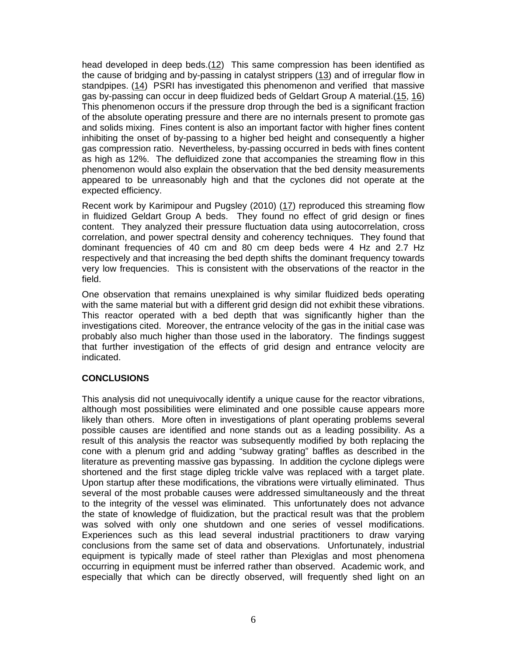head developed in deep beds.(12) This same compression has been identified as the cause of bridging and by-passing in catalyst strippers (13) and of irregular flow in standpipes. (14) PSRI has investigated this phenomenon and verified that massive gas by-passing can occur in deep fluidized beds of Geldart Group A material.(15, 16) This phenomenon occurs if the pressure drop through the bed is a significant fraction of the absolute operating pressure and there are no internals present to promote gas and solids mixing. Fines content is also an important factor with higher fines content inhibiting the onset of by-passing to a higher bed height and consequently a higher gas compression ratio. Nevertheless, by-passing occurred in beds with fines content as high as 12%. The defluidized zone that accompanies the streaming flow in this phenomenon would also explain the observation that the bed density measurements appeared to be unreasonably high and that the cyclones did not operate at the expected efficiency.

Recent work by Karimipour and Pugsley (2010) (17) reproduced this streaming flow in fluidized Geldart Group A beds. They found no effect of grid design or fines content. They analyzed their pressure fluctuation data using autocorrelation, cross correlation, and power spectral density and coherency techniques. They found that dominant frequencies of 40 cm and 80 cm deep beds were 4 Hz and 2.7 Hz respectively and that increasing the bed depth shifts the dominant frequency towards very low frequencies. This is consistent with the observations of the reactor in the field.

One observation that remains unexplained is why similar fluidized beds operating with the same material but with a different grid design did not exhibit these vibrations. This reactor operated with a bed depth that was significantly higher than the investigations cited. Moreover, the entrance velocity of the gas in the initial case was probably also much higher than those used in the laboratory. The findings suggest that further investigation of the effects of grid design and entrance velocity are indicated.

#### **CONCLUSIONS**

This analysis did not unequivocally identify a unique cause for the reactor vibrations, although most possibilities were eliminated and one possible cause appears more likely than others. More often in investigations of plant operating problems several possible causes are identified and none stands out as a leading possibility. As a result of this analysis the reactor was subsequently modified by both replacing the cone with a plenum grid and adding "subway grating" baffles as described in the literature as preventing massive gas bypassing. In addition the cyclone diplegs were shortened and the first stage dipleg trickle valve was replaced with a target plate. Upon startup after these modifications, the vibrations were virtually eliminated. Thus several of the most probable causes were addressed simultaneously and the threat to the integrity of the vessel was eliminated. This unfortunately does not advance the state of knowledge of fluidization, but the practical result was that the problem was solved with only one shutdown and one series of vessel modifications. Experiences such as this lead several industrial practitioners to draw varying conclusions from the same set of data and observations. Unfortunately, industrial equipment is typically made of steel rather than Plexiglas and most phenomena occurring in equipment must be inferred rather than observed. Academic work, and especially that which can be directly observed, will frequently shed light on an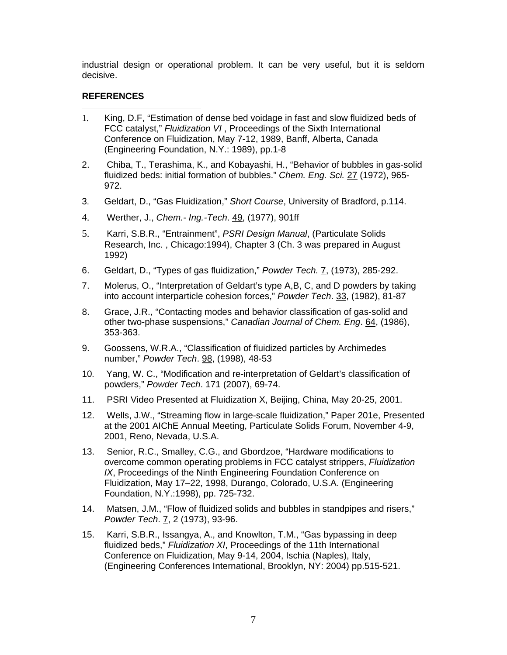industrial design or operational problem. It can be very useful, but it is seldom decisive.

### **REFERENCES**

- $\overline{a}$ 1. King, D.F, "Estimation of dense bed voidage in fast and slow fluidized beds of FCC catalyst," *Fluidization VI* , Proceedings of the Sixth International Conference on Fluidization, May 7-12, 1989, Banff, Alberta, Canada (Engineering Foundation, N.Y.: 1989), pp.1-8
- 2. Chiba, T., Terashima, K., and Kobayashi, H., "Behavior of bubbles in gas-solid fluidized beds: initial formation of bubbles." *Chem. Eng. Sci.* 27 (1972), 965- 972.
- 3. Geldart, D., "Gas Fluidization," *Short Course*, University of Bradford, p.114.
- 4. Werther, J., *Chem.- Ing.-Tech*. 49, (1977), 901ff
- 5. Karri, S.B.R., "Entrainment", *PSRI Design Manual*, (Particulate Solids Research, Inc. , Chicago:1994), Chapter 3 (Ch. 3 was prepared in August 1992)
- 6. Geldart, D., "Types of gas fluidization," *Powder Tech.* 7, (1973), 285-292.
- 7. Molerus, O., "Interpretation of Geldart's type A,B, C, and D powders by taking into account interparticle cohesion forces," *Powder Tech*. 33, (1982), 81-87
- 8. Grace, J.R., "Contacting modes and behavior classification of gas-solid and other two-phase suspensions," *Canadian Journal of Chem. Eng*. 64, (1986), 353-363.
- 9. Goossens, W.R.A., "Classification of fluidized particles by Archimedes number," *Powder Tech*. 98, (1998), 48-53
- 10. Yang, W. C., "Modification and re-interpretation of Geldart's classification of powders," *Powder Tech*. 171 (2007), 69-74.
- 11. PSRI Video Presented at Fluidization X, Beijing, China, May 20-25, 2001.
- 12. Wells, J.W., "Streaming flow in large-scale fluidization," Paper 201e, Presented at the 2001 AIChE Annual Meeting, Particulate Solids Forum, November 4-9, 2001, Reno, Nevada, U.S.A.
- 13. Senior, R.C., Smalley, C.G., and Gbordzoe, "Hardware modifications to overcome common operating problems in FCC catalyst strippers, *Fluidization IX*, Proceedings of the Ninth Engineering Foundation Conference on Fluidization, May 17–22, 1998, Durango, Colorado, U.S.A. (Engineering Foundation, N.Y.:1998), pp. 725-732.
- 14. Matsen, J.M., "Flow of fluidized solids and bubbles in standpipes and risers," *Powder Tech*. 7, 2 (1973), 93-96.
- 15. Karri, S.B.R., Issangya, A., and Knowlton, T.M., "Gas bypassing in deep fluidized beds," *Fluidization XI*, Proceedings of the 11th International Conference on Fluidization, May 9-14, 2004, Ischia (Naples), Italy, (Engineering Conferences International, Brooklyn, NY: 2004) pp.515-521.